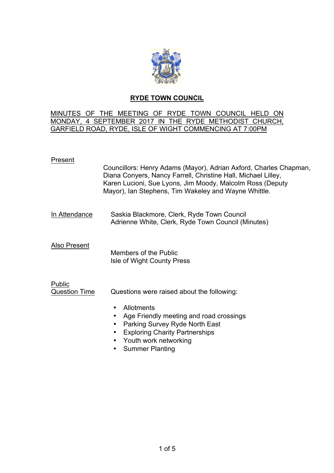

# **RYDE TOWN COUNCIL**

## MINUTES OF THE MEETING OF RYDE TOWN COUNCIL HELD ON MONDAY, 4 SEPTEMBER 2017 IN THE RYDE METHODIST CHURCH, GARFIELD ROAD, RYDE, ISLE OF WIGHT COMMENCING AT 7:00PM

## Present

| Councillors: Henry Adams (Mayor), Adrian Axford, Charles Chapman, |
|-------------------------------------------------------------------|
| Diana Conyers, Nancy Farrell, Christine Hall, Michael Lilley,     |
| Karen Lucioni, Sue Lyons, Jim Moody, Malcolm Ross (Deputy         |
| Mayor), Ian Stephens, Tim Wakeley and Wayne Whittle.              |
|                                                                   |

In Attendance Saskia Blackmore, Clerk, Ryde Town Council Adrienne White, Clerk, Ryde Town Council (Minutes)

Also Present

 Members of the Public Isle of Wight County Press

#### Public Question Time Questions were raised about the following:

- Allotments
- Age Friendly meeting and road crossings
- Parking Survey Ryde North East
- Exploring Charity Partnerships
- Youth work networking
- Summer Planting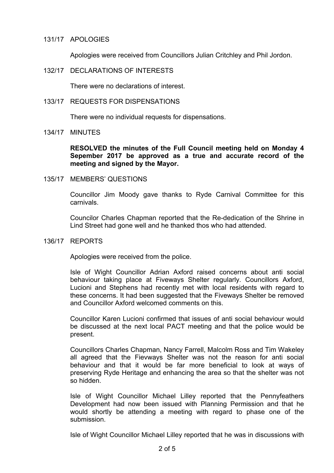### 131/17 APOLOGIES

Apologies were received from Councillors Julian Critchley and Phil Jordon.

## 132/17 DECLARATIONS OF INTERESTS

There were no declarations of interest.

#### 133/17 REQUESTS FOR DISPENSATIONS

There were no individual requests for dispensations.

## 134/17 MINUTES

**RESOLVED the minutes of the Full Council meeting held on Monday 4 Sepember 2017 be approved as a true and accurate record of the meeting and signed by the Mayor.**

## 135/17 MEMBERS' QUESTIONS

Councillor Jim Moody gave thanks to Ryde Carnival Committee for this carnivals.

Councilor Charles Chapman reported that the Re-dedication of the Shrine in Lind Street had gone well and he thanked thos who had attended.

## 136/17 REPORTS

Apologies were received from the police.

Isle of Wight Councillor Adrian Axford raised concerns about anti social behaviour taking place at Fiveways Shelter regularly. Councillors Axford, Lucioni and Stephens had recently met with local residents with regard to these concerns. It had been suggested that the Fiveways Shelter be removed and Councillor Axford welcomed comments on this.

Councillor Karen Lucioni confirmed that issues of anti social behaviour would be discussed at the next local PACT meeting and that the police would be present.

Councillors Charles Chapman, Nancy Farrell, Malcolm Ross and Tim Wakeley all agreed that the Fievways Shelter was not the reason for anti social behaviour and that it would be far more beneficial to look at ways of preserving Ryde Heritage and enhancing the area so that the shelter was not so hidden.

Isle of Wight Councillor Michael Lilley reported that the Pennyfeathers Development had now been issued with Planning Permission and that he would shortly be attending a meeting with regard to phase one of the submission.

Isle of Wight Councillor Michael Lilley reported that he was in discussions with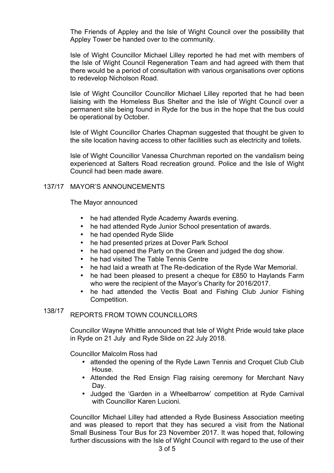The Friends of Appley and the Isle of Wight Council over the possibility that Appley Tower be handed over to the community.

Isle of Wight Councillor Michael Lilley reported he had met with members of the Isle of Wight Council Regeneration Team and had agreed with them that there would be a period of consultation with various organisations over options to redevelop Nicholson Road.

Isle of Wight Councillor Councillor Michael Lilley reported that he had been liaising with the Homeless Bus Shelter and the Isle of Wight Council over a permanent site being found in Ryde for the bus in the hope that the bus could be operational by October.

Isle of Wight Councillor Charles Chapman suggested that thought be given to the site location having access to other facilities such as electricity and toilets.

Isle of Wight Councillor Vanessa Churchman reported on the vandalism being experienced at Salters Road recreation ground. Police and the Isle of Wight Council had been made aware.

## 137/17 MAYOR'S ANNOUNCEMENTS

The Mayor announced

- he had attended Ryde Academy Awards evening.
- he had attended Ryde Junior School presentation of awards.
- he had opended Ryde Slide
- he had presented prizes at Dover Park School
- he had opened the Party on the Green and judged the dog show.
- he had visited The Table Tennis Centre
- he had laid a wreath at The Re-dedication of the Ryde War Memorial.
- he had been pleased to present a cheque for £850 to Haylands Farm who were the recipient of the Mayor's Charity for 2016/2017.
- he had attended the Vectis Boat and Fishing Club Junior Fishing Competition.

#### 138/17 REPORTS FROM TOWN COUNCILLORS

Councillor Wayne Whittle announced that Isle of Wight Pride would take place in Ryde on 21 July and Ryde Slide on 22 July 2018.

Councillor Malcolm Ross had

- attended the opening of the Ryde Lawn Tennis and Croquet Club Club House.
- Attended the Red Ensign Flag raising ceremony for Merchant Navy Day.
- Judged the 'Garden in a Wheelbarrow' competition at Ryde Carnival with Councillor Karen Lucioni.

Councillor Michael Lilley had attended a Ryde Business Association meeting and was pleased to report that they has secured a visit from the National Small Business Tour Bus for 23 November 2017. It was hoped that, following further discussions with the Isle of Wight Council with regard to the use of their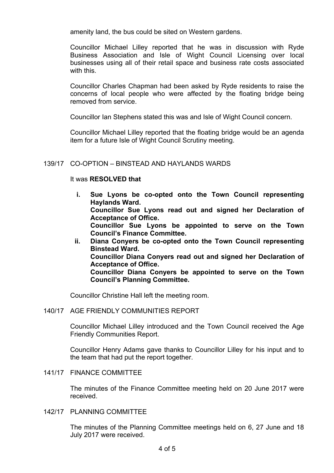amenity land, the bus could be sited on Western gardens.

Councillor Michael Lilley reported that he was in discussion with Ryde Business Association and Isle of Wight Council Licensing over local businesses using all of their retail space and business rate costs associated with this.

Councillor Charles Chapman had been asked by Ryde residents to raise the concerns of local people who were affected by the floating bridge being removed from service.

Councillor Ian Stephens stated this was and Isle of Wight Council concern.

Councillor Michael Lilley reported that the floating bridge would be an agenda item for a future Isle of Wight Council Scrutiny meeting.

## 139/17 CO-OPTION – BINSTEAD AND HAYLANDS WARDS

## It was **RESOLVED that**

- **i. Sue Lyons be co-opted onto the Town Council representing Haylands Ward. Councillor Sue Lyons read out and signed her Declaration of Acceptance of Office. Councillor Sue Lyons be appointed to serve on the Town Council's Finance Committee.**
- **ii. Diana Conyers be co-opted onto the Town Council representing Binstead Ward. Councillor Diana Conyers read out and signed her Declaration of Acceptance of Office. Councillor Diana Conyers be appointed to serve on the Town Council's Planning Committee.**

Councillor Christine Hall left the meeting room.

#### 140/17 AGE FRIENDLY COMMUNITIES REPORT

Councillor Michael Lilley introduced and the Town Council received the Age Friendly Communities Report.

Councillor Henry Adams gave thanks to Councillor Lilley for his input and to the team that had put the report together.

#### 141/17 FINANCE COMMITTEE

The minutes of the Finance Committee meeting held on 20 June 2017 were received.

142/17 PLANNING COMMITTEE

The minutes of the Planning Committee meetings held on 6, 27 June and 18 July 2017 were received.